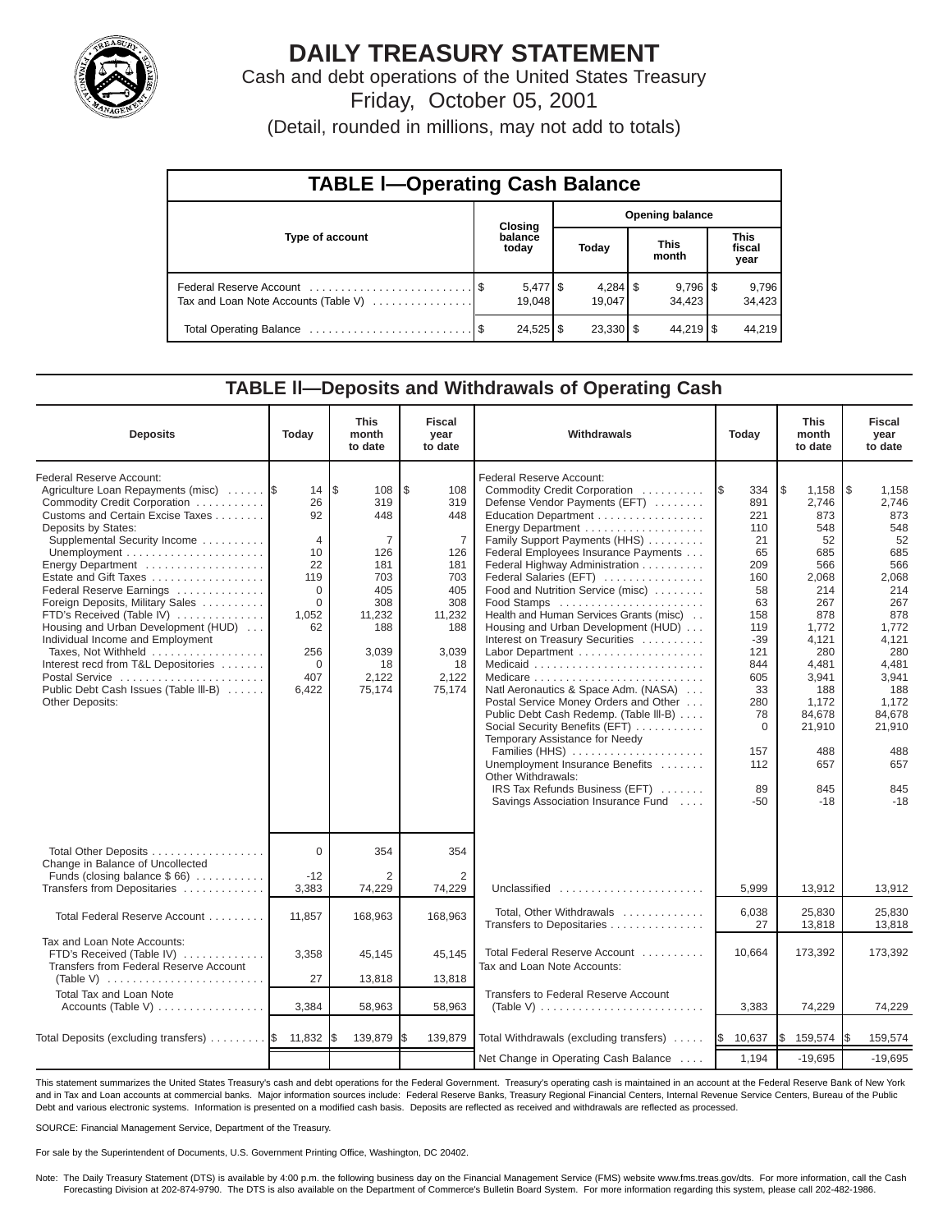

# **DAILY TREASURY STATEMENT**

Cash and debt operations of the United States Treasury Friday, October 05, 2001

(Detail, rounded in millions, may not add to totals)

| <b>TABLE I-Operating Cash Balance</b> |  |                  |                        |        |  |                                 |  |                               |  |  |
|---------------------------------------|--|------------------|------------------------|--------|--|---------------------------------|--|-------------------------------|--|--|
|                                       |  | <b>Closing</b>   | <b>Opening balance</b> |        |  |                                 |  |                               |  |  |
| Type of account                       |  | balance<br>today |                        | Today  |  | <b>This</b><br>month            |  | <b>This</b><br>fiscal<br>year |  |  |
| Tax and Loan Note Accounts (Table V)  |  | 19,048           |                        | 19.047 |  | $9,796$ $\frac{8}{3}$<br>34.423 |  | 9,796<br>34,423               |  |  |
|                                       |  | $24,525$ \$      |                        |        |  | $44,219$ $\sqrt{5}$             |  | 44,219                        |  |  |

#### **TABLE ll—Deposits and Withdrawals of Operating Cash**

| <b>Deposits</b>                                                                                                                                                                                                                                                                                                                                                                                                                                                                                                                                                    | Today                                                                                                                         | <b>This</b><br>month<br>to date                                                                                                  | <b>Fiscal</b><br>year<br>to date                                                                                                | Withdrawals                                                                                                                                                                                                                                                                                                                                                                                                                                                                                                                                                                                                                                                                                                                                                                                                                | Today                                                                                                                                                                       | <b>This</b><br>month<br>to date                                                                                                                                                                    | <b>Fiscal</b><br>year<br>to date                                                                                                                                                                    |
|--------------------------------------------------------------------------------------------------------------------------------------------------------------------------------------------------------------------------------------------------------------------------------------------------------------------------------------------------------------------------------------------------------------------------------------------------------------------------------------------------------------------------------------------------------------------|-------------------------------------------------------------------------------------------------------------------------------|----------------------------------------------------------------------------------------------------------------------------------|---------------------------------------------------------------------------------------------------------------------------------|----------------------------------------------------------------------------------------------------------------------------------------------------------------------------------------------------------------------------------------------------------------------------------------------------------------------------------------------------------------------------------------------------------------------------------------------------------------------------------------------------------------------------------------------------------------------------------------------------------------------------------------------------------------------------------------------------------------------------------------------------------------------------------------------------------------------------|-----------------------------------------------------------------------------------------------------------------------------------------------------------------------------|----------------------------------------------------------------------------------------------------------------------------------------------------------------------------------------------------|-----------------------------------------------------------------------------------------------------------------------------------------------------------------------------------------------------|
| Federal Reserve Account:<br>Agriculture Loan Repayments (misc)<br>Commodity Credit Corporation<br>Customs and Certain Excise Taxes<br>Deposits by States:<br>Supplemental Security Income<br>Energy Department<br>Estate and Gift Taxes<br>Federal Reserve Earnings<br>Foreign Deposits, Military Sales<br>FTD's Received (Table IV)<br>Housing and Urban Development (HUD)<br>Individual Income and Employment<br>Taxes, Not Withheld<br>Interest recd from T&L Depositories<br>Postal Service<br>Public Debt Cash Issues (Table III-B)<br><b>Other Deposits:</b> | 14<br>26<br>92<br>$\overline{4}$<br>10<br>22<br>119<br>$\Omega$<br>$\Omega$<br>1,052<br>62<br>256<br>$\Omega$<br>407<br>6,422 | l\$<br>108<br>319<br>448<br>$\overline{7}$<br>126<br>181<br>703<br>405<br>308<br>11,232<br>188<br>3,039<br>18<br>2,122<br>75,174 | \$<br>108<br>319<br>448<br>$\overline{7}$<br>126<br>181<br>703<br>405<br>308<br>11,232<br>188<br>3,039<br>18<br>2,122<br>75,174 | Federal Reserve Account:<br>Commodity Credit Corporation<br>Defense Vendor Payments (EFT)<br>Education Department<br>Energy Department<br>Family Support Payments (HHS)<br>Federal Employees Insurance Payments<br>Federal Highway Administration<br>Federal Salaries (EFT)<br>Food and Nutrition Service (misc)<br>Food Stamps<br>Health and Human Services Grants (misc)<br>Housing and Urban Development (HUD)<br>Interest on Treasury Securities<br>Labor Department<br>Natl Aeronautics & Space Adm. (NASA)<br>Postal Service Money Orders and Other<br>Public Debt Cash Redemp. (Table III-B)<br>Social Security Benefits (EFT)<br>Temporary Assistance for Needy<br>Families (HHS)<br>Unemployment Insurance Benefits<br>Other Withdrawals:<br>IRS Tax Refunds Business (EFT)<br>Savings Association Insurance Fund | 334<br>I\$<br>891<br>221<br>110<br>21<br>65<br>209<br>160<br>58<br>63<br>158<br>119<br>$-39$<br>121<br>844<br>605<br>33<br>280<br>78<br>$\Omega$<br>157<br>112<br>89<br>-50 | l\$<br>1,158<br>2,746<br>873<br>548<br>52<br>685<br>566<br>2,068<br>214<br>267<br>878<br>1,772<br>4,121<br>280<br>4,481<br>3,941<br>188<br>1,172<br>84,678<br>21,910<br>488<br>657<br>845<br>$-18$ | l \$<br>1,158<br>2.746<br>873<br>548<br>52<br>685<br>566<br>2,068<br>214<br>267<br>878<br>1,772<br>4,121<br>280<br>4,481<br>3,941<br>188<br>1,172<br>84,678<br>21,910<br>488<br>657<br>845<br>$-18$ |
| Total Other Deposits<br>Change in Balance of Uncollected<br>Funds (closing balance $$66$ )                                                                                                                                                                                                                                                                                                                                                                                                                                                                         | $\Omega$<br>$-12$                                                                                                             | 354<br>2                                                                                                                         | 354<br>2                                                                                                                        |                                                                                                                                                                                                                                                                                                                                                                                                                                                                                                                                                                                                                                                                                                                                                                                                                            |                                                                                                                                                                             |                                                                                                                                                                                                    |                                                                                                                                                                                                     |
| Transfers from Depositaries                                                                                                                                                                                                                                                                                                                                                                                                                                                                                                                                        | 3,383                                                                                                                         | 74,229                                                                                                                           | 74,229                                                                                                                          | Unclassified                                                                                                                                                                                                                                                                                                                                                                                                                                                                                                                                                                                                                                                                                                                                                                                                               | 5,999                                                                                                                                                                       | 13,912                                                                                                                                                                                             | 13,912                                                                                                                                                                                              |
| Total Federal Reserve Account                                                                                                                                                                                                                                                                                                                                                                                                                                                                                                                                      | 11,857                                                                                                                        | 168,963                                                                                                                          | 168,963                                                                                                                         | Total, Other Withdrawals<br>Transfers to Depositaries                                                                                                                                                                                                                                                                                                                                                                                                                                                                                                                                                                                                                                                                                                                                                                      | 6,038<br>27                                                                                                                                                                 | 25,830<br>13,818                                                                                                                                                                                   | 25,830<br>13,818                                                                                                                                                                                    |
| Tax and Loan Note Accounts:<br>FTD's Received (Table IV)<br>Transfers from Federal Reserve Account                                                                                                                                                                                                                                                                                                                                                                                                                                                                 | 3,358                                                                                                                         | 45,145                                                                                                                           | 45,145                                                                                                                          | Total Federal Reserve Account<br>Tax and Loan Note Accounts:                                                                                                                                                                                                                                                                                                                                                                                                                                                                                                                                                                                                                                                                                                                                                               | 10,664                                                                                                                                                                      | 173,392                                                                                                                                                                                            | 173,392                                                                                                                                                                                             |
| (Table V) $\ldots \ldots \ldots \ldots \ldots \ldots \ldots$<br><b>Total Tax and Loan Note</b>                                                                                                                                                                                                                                                                                                                                                                                                                                                                     | 27                                                                                                                            | 13,818                                                                                                                           | 13,818                                                                                                                          | <b>Transfers to Federal Reserve Account</b>                                                                                                                                                                                                                                                                                                                                                                                                                                                                                                                                                                                                                                                                                                                                                                                |                                                                                                                                                                             |                                                                                                                                                                                                    |                                                                                                                                                                                                     |
| Accounts (Table V)                                                                                                                                                                                                                                                                                                                                                                                                                                                                                                                                                 | 3,384                                                                                                                         | 58,963                                                                                                                           | 58,963                                                                                                                          | (Table V) $\ldots \ldots \ldots \ldots \ldots \ldots \ldots \ldots$                                                                                                                                                                                                                                                                                                                                                                                                                                                                                                                                                                                                                                                                                                                                                        | 3,383                                                                                                                                                                       | 74,229                                                                                                                                                                                             | 74,229                                                                                                                                                                                              |
| Total Deposits (excluding transfers) $\ldots \ldots$ $\$ 11,832                                                                                                                                                                                                                                                                                                                                                                                                                                                                                                    |                                                                                                                               | 139,879                                                                                                                          | l\$<br>139,879                                                                                                                  | Total Withdrawals (excluding transfers)                                                                                                                                                                                                                                                                                                                                                                                                                                                                                                                                                                                                                                                                                                                                                                                    | 10,637<br><b>S</b>                                                                                                                                                          | l\$<br>159,574                                                                                                                                                                                     | 159,574<br>I\$                                                                                                                                                                                      |
|                                                                                                                                                                                                                                                                                                                                                                                                                                                                                                                                                                    |                                                                                                                               |                                                                                                                                  |                                                                                                                                 | Net Change in Operating Cash Balance                                                                                                                                                                                                                                                                                                                                                                                                                                                                                                                                                                                                                                                                                                                                                                                       | 1,194                                                                                                                                                                       | $-19,695$                                                                                                                                                                                          | $-19,695$                                                                                                                                                                                           |

This statement summarizes the United States Treasury's cash and debt operations for the Federal Government. Treasury's operating cash is maintained in an account at the Federal Reserve Bank of New York and in Tax and Loan accounts at commercial banks. Major information sources include: Federal Reserve Banks, Treasury Regional Financial Centers, Internal Revenue Service Centers, Bureau of the Public Debt and various electronic systems. Information is presented on a modified cash basis. Deposits are reflected as received and withdrawals are reflected as processed.

SOURCE: Financial Management Service, Department of the Treasury.

For sale by the Superintendent of Documents, U.S. Government Printing Office, Washington, DC 20402.

Note: The Daily Treasury Statement (DTS) is available by 4:00 p.m. the following business day on the Financial Management Service (FMS) website www.fms.treas.gov/dts. For more information, call the Cash Forecasting Division at 202-874-9790. The DTS is also available on the Department of Commerce's Bulletin Board System. For more information regarding this system, please call 202-482-1986.